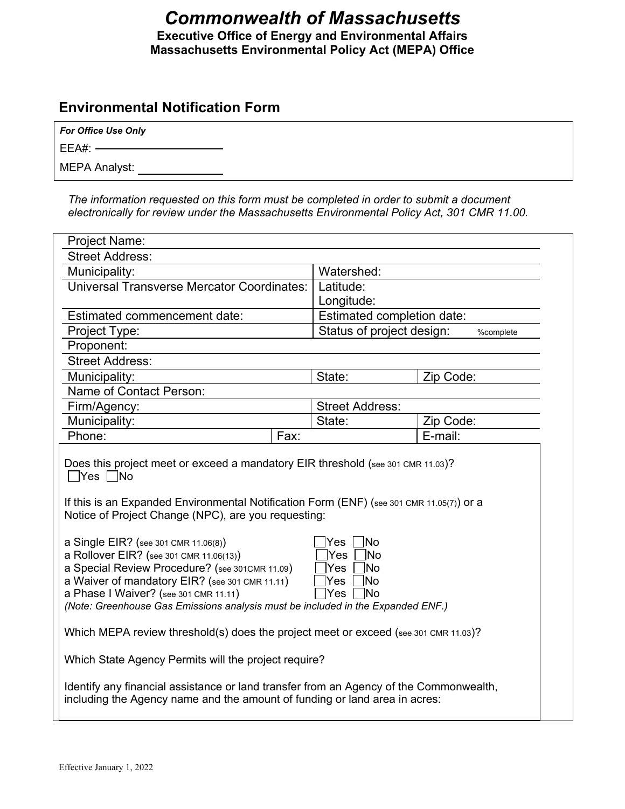# *Commonwealth of Massachusetts* **Executive Office of Energy and Environmental Affairs Massachusetts Environmental Policy Act (MEPA) Office**

# **Environmental Notification Form**

| <b>For Office Use Only</b> |  |
|----------------------------|--|
| $EEA#:$ $-$                |  |

MEPA Analyst:

*The information requested on this form must be completed in order to submit a document electronically for review under the Massachusetts Environmental Policy Act, 301 CMR 11.00.*

| Project Name:                                                                                                                                                                                                                                                                                                                                                     |                                                                   |           |  |
|-------------------------------------------------------------------------------------------------------------------------------------------------------------------------------------------------------------------------------------------------------------------------------------------------------------------------------------------------------------------|-------------------------------------------------------------------|-----------|--|
| <b>Street Address:</b>                                                                                                                                                                                                                                                                                                                                            |                                                                   |           |  |
| Municipality:                                                                                                                                                                                                                                                                                                                                                     | Watershed:                                                        |           |  |
| <b>Universal Transverse Mercator Coordinates:</b>                                                                                                                                                                                                                                                                                                                 | Latitude:                                                         |           |  |
|                                                                                                                                                                                                                                                                                                                                                                   | Longitude:                                                        |           |  |
| Estimated commencement date:                                                                                                                                                                                                                                                                                                                                      | Estimated completion date:                                        |           |  |
| Project Type:                                                                                                                                                                                                                                                                                                                                                     | Status of project design:                                         | %complete |  |
| Proponent:                                                                                                                                                                                                                                                                                                                                                        |                                                                   |           |  |
| <b>Street Address:</b>                                                                                                                                                                                                                                                                                                                                            |                                                                   |           |  |
| Municipality:                                                                                                                                                                                                                                                                                                                                                     | State:                                                            | Zip Code: |  |
| Name of Contact Person:                                                                                                                                                                                                                                                                                                                                           |                                                                   |           |  |
| Firm/Agency:                                                                                                                                                                                                                                                                                                                                                      | <b>Street Address:</b>                                            |           |  |
| Municipality:                                                                                                                                                                                                                                                                                                                                                     | State:                                                            | Zip Code: |  |
| Fax:<br>Phone:                                                                                                                                                                                                                                                                                                                                                    |                                                                   | E-mail:   |  |
| $\exists$ Yes $\Box$ No<br>If this is an Expanded Environmental Notification Form (ENF) (see 301 CMR 11.05(7)) or a<br>Notice of Project Change (NPC), are you requesting:<br>a Single EIR? (see 301 CMR 11.06(8))<br>a Rollover EIR? (see 301 CMR 11.06(13))<br>a Special Review Procedure? (see 301CMR 11.09)<br>a Waiver of mandatory EIR? (see 301 CMR 11.11) | <b>No</b><br>Yes<br><b>INo</b><br>Yes<br>lNo<br>Yes<br>lNo<br>Yes |           |  |
| a Phase I Waiver? (see 301 CMR 11.11)<br>lYes<br><b>INo</b><br>(Note: Greenhouse Gas Emissions analysis must be included in the Expanded ENF.)                                                                                                                                                                                                                    |                                                                   |           |  |
| Which MEPA review threshold(s) does the project meet or exceed (see 301 CMR 11.03)?                                                                                                                                                                                                                                                                               |                                                                   |           |  |
| Which State Agency Permits will the project require?                                                                                                                                                                                                                                                                                                              |                                                                   |           |  |
| Identify any financial assistance or land transfer from an Agency of the Commonwealth,<br>including the Agency name and the amount of funding or land area in acres:                                                                                                                                                                                              |                                                                   |           |  |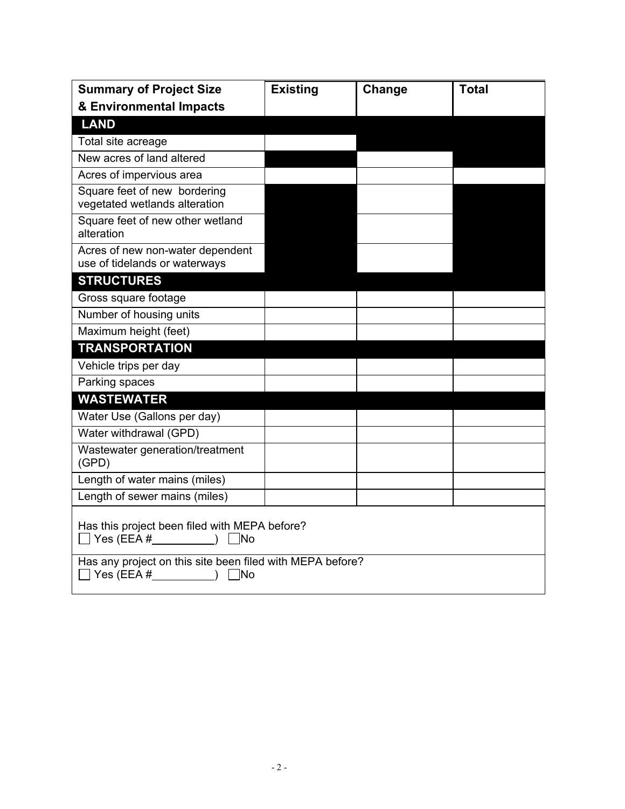| <b>Summary of Project Size</b>                                                                   | <b>Existing</b> | Change | <b>Total</b> |
|--------------------------------------------------------------------------------------------------|-----------------|--------|--------------|
| & Environmental Impacts                                                                          |                 |        |              |
| <b>LAND</b>                                                                                      |                 |        |              |
| Total site acreage                                                                               |                 |        |              |
| New acres of land altered                                                                        |                 |        |              |
| Acres of impervious area                                                                         |                 |        |              |
| Square feet of new bordering<br>vegetated wetlands alteration                                    |                 |        |              |
| Square feet of new other wetland<br>alteration                                                   |                 |        |              |
| Acres of new non-water dependent<br>use of tidelands or waterways                                |                 |        |              |
| <b>STRUCTURES</b>                                                                                |                 |        |              |
| Gross square footage                                                                             |                 |        |              |
| Number of housing units                                                                          |                 |        |              |
| Maximum height (feet)                                                                            |                 |        |              |
| <b>TRANSPORTATION</b>                                                                            |                 |        |              |
| Vehicle trips per day                                                                            |                 |        |              |
| Parking spaces                                                                                   |                 |        |              |
| <b>WASTEWATER</b>                                                                                |                 |        |              |
| Water Use (Gallons per day)                                                                      |                 |        |              |
| Water withdrawal (GPD)                                                                           |                 |        |              |
| Wastewater generation/treatment<br>(GPD)                                                         |                 |        |              |
| Length of water mains (miles)                                                                    |                 |        |              |
| Length of sewer mains (miles)                                                                    |                 |        |              |
| Has this project been filed with MEPA before?                                                    |                 |        |              |
| Has any project on this site been filed with MEPA before?<br>$\bigcap$ Yes (EEA # ) $\bigcap$ No |                 |        |              |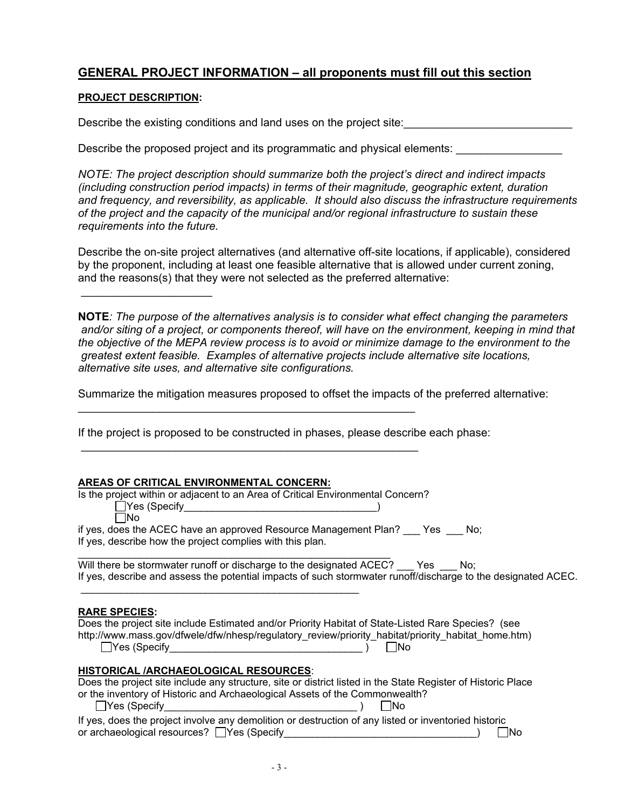## **GENERAL PROJECT INFORMATION – all proponents must fill out this section**

### **PROJECT DESCRIPTION:**

 $\mathcal{L}=\{1,2,3,4,5\}$ 

Describe the existing conditions and land uses on the project site:

Describe the proposed project and its programmatic and physical elements:

*NOTE: The project description should summarize both the project's direct and indirect impacts (including construction period impacts) in terms of their magnitude, geographic extent, duration and frequency, and reversibility, as applicable. It should also discuss the infrastructure requirements of the project and the capacity of the municipal and/or regional infrastructure to sustain these requirements into the future.*

Describe the on-site project alternatives (and alternative off-site locations, if applicable), considered by the proponent, including at least one feasible alternative that is allowed under current zoning, and the reasons(s) that they were not selected as the preferred alternative:

**NOTE***: The purpose of the alternatives analysis is to consider what effect changing the parameters and/or siting of a project, or components thereof, will have on the environment, keeping in mind that the objective of the MEPA review process is to avoid or minimize damage to the environment to the greatest extent feasible. Examples of alternative projects include alternative site locations, alternative site uses, and alternative site configurations.*

Summarize the mitigation measures proposed to offset the impacts of the preferred alternative:

If the project is proposed to be constructed in phases, please describe each phase:

\_\_\_\_\_\_\_\_\_\_\_\_\_\_\_\_\_\_\_\_\_\_\_\_\_\_\_\_\_\_\_\_\_\_\_\_\_\_\_\_\_\_\_\_\_\_\_\_\_\_\_\_\_\_

 $\mathcal{L}_\text{max}$  , and the contract of the contract of the contract of the contract of the contract of the contract of

### **AREAS OF CRITICAL ENVIRONMENTAL CONCERN:**

\_\_\_\_\_\_\_\_\_\_\_\_\_\_\_\_\_\_\_\_\_\_\_\_\_\_\_\_\_\_\_\_\_\_\_\_\_\_\_\_\_\_\_\_\_\_\_\_\_

Is the project within or adjacent to an Area of Critical Environmental Concern? Yes (Specify\_\_\_\_\_\_\_\_\_\_\_\_\_\_\_\_\_\_\_\_\_\_\_\_\_\_\_\_\_\_\_\_) No if yes, does the ACEC have an approved Resource Management Plan? \_\_\_ Yes \_\_\_ No; If yes, describe how the project complies with this plan.

\_\_\_\_\_\_\_\_\_\_\_\_\_\_\_\_\_\_\_\_\_\_\_\_\_\_\_\_\_\_\_\_\_\_\_\_\_\_\_\_\_\_\_\_\_\_\_\_\_\_\_\_\_\_\_ Will there be stormwater runoff or discharge to the designated ACEC? Yes No; If yes, describe and assess the potential impacts of such stormwater runoff/discharge to the designated ACEC.

#### **RARE SPECIES:**

Does the project site include Estimated and/or Priority Habitat of State-Listed Rare Species? (see http://www.mass.gov/dfwele/dfw/nhesp/regulatory\_review/priority\_habitat/priority\_habitat\_home.htm)  $\Box$ Yes (Specify  $\Box$ 

### **HISTORICAL /ARCHAEOLOGICAL RESOURCES**:

|                                                                             | Does the project site include any structure, site or district listed in the State Register of Historic Place |
|-----------------------------------------------------------------------------|--------------------------------------------------------------------------------------------------------------|
| or the inventory of Historic and Archaeological Assets of the Commonwealth? |                                                                                                              |
| ∏Yes (Specify                                                               | ∣ INo                                                                                                        |
|                                                                             | If yes, does the project involve any demolition or destruction of any listed or inventoried historic         |

or archaeological resources? Yes (Specify\_\_\_\_\_\_\_\_\_\_\_\_\_\_\_\_\_\_\_\_\_\_\_\_\_\_\_\_\_\_\_\_\_\_) No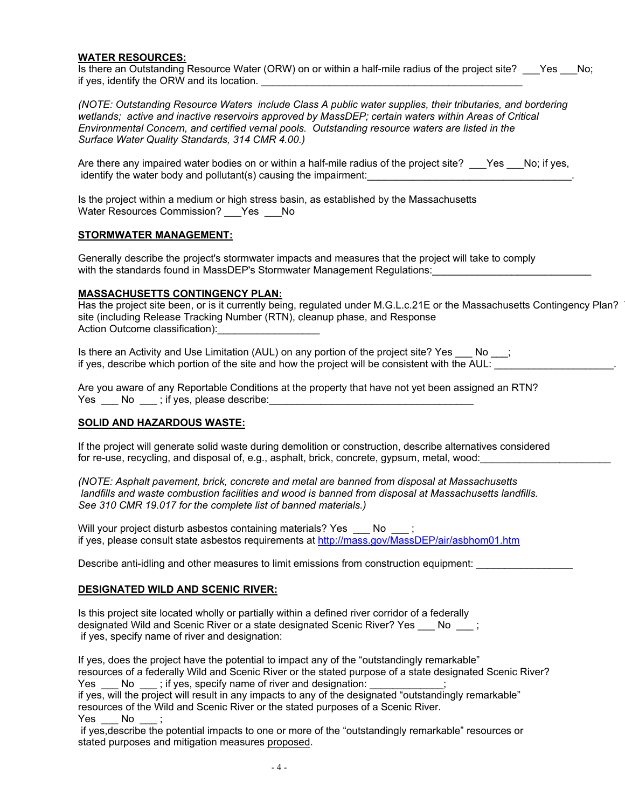#### **WATER RESOURCES:**

Is there an Outstanding Resource Water (ORW) on or within a half-mile radius of the project site? Yes No; if yes, identify the ORW and its location.

*(NOTE: Outstanding Resource Waters include Class A public water supplies, their tributaries, and bordering wetlands; active and inactive reservoirs approved by MassDEP; certain waters within Areas of Critical Environmental Concern, and certified vernal pools. Outstanding resource waters are listed in the Surface Water Quality Standards, 314 CMR 4.00.)*

Are there any impaired water bodies on or within a half-mile radius of the project site? \_\_\_Yes \_\_No; if yes, identify the water body and pollutant(s) causing the impairment:

Is the project within a medium or high stress basin, as established by the Massachusetts Water Resources Commission? Yes No

#### **STORMWATER MANAGEMENT:**

Generally describe the project's stormwater impacts and measures that the project will take to comply with the standards found in MassDEP's Stormwater Management Regulations:

#### **MASSACHUSETTS CONTINGENCY PLAN:**

Has the project site been, or is it currently being, regulated under M.G.L.c.21E or the Massachusetts Contingency Plan? site (including Release Tracking Number (RTN), cleanup phase, and Response Action Outcome classification):

Is there an Activity and Use Limitation (AUL) on any portion of the project site? Yes \_\_\_ No \_\_; if yes, describe which portion of the site and how the project will be consistent with the AUL:

Are you aware of any Reportable Conditions at the property that have not yet been assigned an RTN?  $Yes \_\_No \_\_$ ; if yes, please describe:

#### **SOLID AND HAZARDOUS WASTE:**

If the project will generate solid waste during demolition or construction, describe alternatives considered for re-use, recycling, and disposal of, e.g., asphalt, brick, concrete, gypsum, metal, wood:

*(NOTE: Asphalt pavement, brick, concrete and metal are banned from disposal at Massachusetts landfills and waste combustion facilities and wood is banned from disposal at Massachusetts landfills. See 310 CMR 19.017 for the complete list of banned materials.)*

Will your project disturb asbestos containing materials? Yes \_\_\_ No if yes, please consult state asbestos requirements at [http://mass.gov/MassDEP/air/asbhom01.htm](http://mass.gov/dep/air/asbhom01.htm)

Describe anti-idling and other measures to limit emissions from construction equipment:

#### **DESIGNATED WILD AND SCENIC RIVER:**

Is this project site located wholly or partially within a defined river corridor of a federally designated Wild and Scenic River or a state designated Scenic River? Yes No  $\qquad$  ; if yes, specify name of river and designation:

If yes, does the project have the potential to impact any of the "outstandingly remarkable" resources of a federally Wild and Scenic River or the stated purpose of a state designated Scenic River? Yes No  $\blacksquare$ ; if yes, specify name of river and designation:

if yes, will the project will result in any impacts to any of the designated "outstandingly remarkable" resources of the Wild and Scenic River or the stated purposes of a Scenic River. Yes No

if yes,describe the potential impacts to one or more of the "outstandingly remarkable" resources or stated purposes and mitigation measures proposed.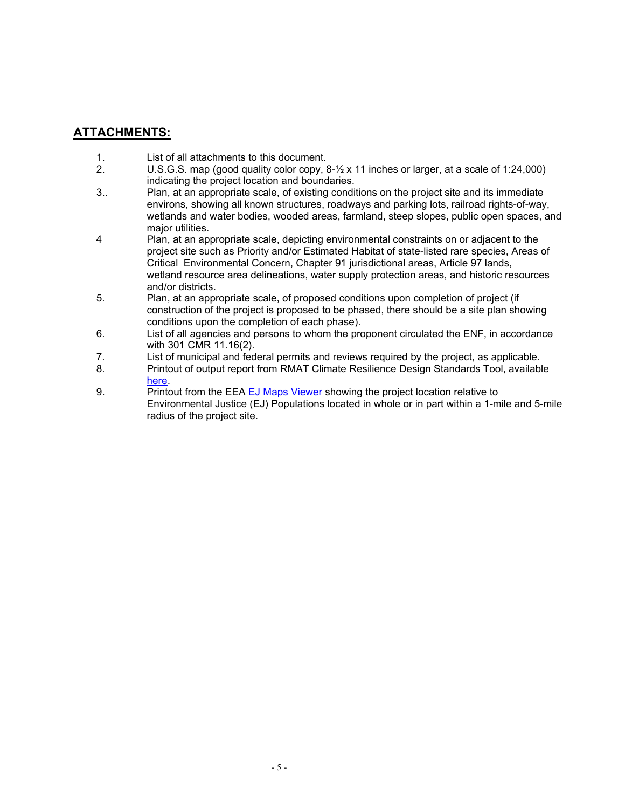## **ATTACHMENTS:**

- 1. List of all attachments to this document.<br>2. C. C.S. C.S. map (good quality color copy.)
- U.S.G.S. map (good quality color copy, 8-1/2 x 11 inches or larger, at a scale of 1:24,000) indicating the project location and boundaries.
- 3.. Plan, at an appropriate scale, of existing conditions on the project site and its immediate environs, showing all known structures, roadways and parking lots, railroad rights-of-way, wetlands and water bodies, wooded areas, farmland, steep slopes, public open spaces, and major utilities.
- 4 Plan, at an appropriate scale, depicting environmental constraints on or adjacent to the project site such as Priority and/or Estimated Habitat of state-listed rare species, Areas of Critical Environmental Concern, Chapter 91 jurisdictional areas, Article 97 lands, wetland resource area delineations, water supply protection areas, and historic resources and/or districts.
- 5. Plan, at an appropriate scale, of proposed conditions upon completion of project (if construction of the project is proposed to be phased, there should be a site plan showing conditions upon the completion of each phase).
- 6. List of all agencies and persons to whom the proponent circulated the ENF, in accordance with 301 CMR 11.16(2).
- 7. List of municipal and federal permits and reviews required by the project, as applicable.
- 8. Printout of output report from RMAT Climate Resilience Design Standards Tool, available [here.](https://resilientma.org/rmat_home/designstandards/)
- 9. Printout from the EEA [EJ Maps Viewer](https://mass-eoeea.maps.arcgis.com/apps/MapSeries/index.html?appid=535e4419dc0545be980545a0eeaf9b53) showing the project location relative to Environmental Justice (EJ) Populations located in whole or in part within a 1-mile and 5-mile radius of the project site.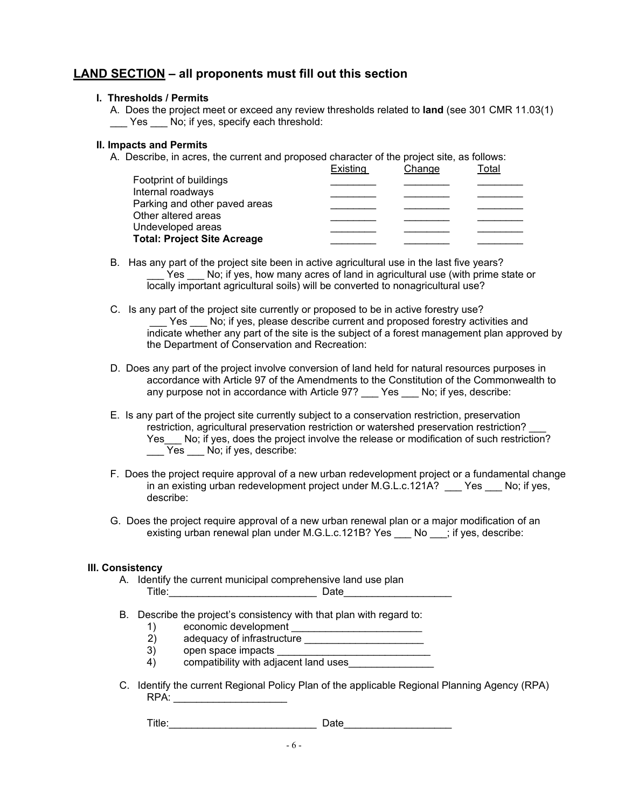## **LAND SECTION – all proponents must fill out this section**

#### **I. Thresholds / Permits**

A. Does the project meet or exceed any review thresholds related to **land** (see 301 CMR 11.03(1) Yes No; if yes, specify each threshold:

#### **II. Impacts and Permits**

A. Describe, in acres, the current and proposed character of the project site, as follows:

|                                    | Existing | Change | <sup>-</sup> otal |
|------------------------------------|----------|--------|-------------------|
| Footprint of buildings             |          |        |                   |
| Internal roadways                  |          |        |                   |
| Parking and other paved areas      |          |        |                   |
| Other altered areas                |          |        |                   |
| Undeveloped areas                  |          |        |                   |
| <b>Total: Project Site Acreage</b> |          |        |                   |

- B. Has any part of the project site been in active agricultural use in the last five years? Yes No; if yes, how many acres of land in agricultural use (with prime state or locally important agricultural soils) will be converted to nonagricultural use?
- C. Is any part of the project site currently or proposed to be in active forestry use? Yes No; if yes, please describe current and proposed forestry activities and indicate whether any part of the site is the subject of a forest management plan approved by the Department of Conservation and Recreation:
- D. Does any part of the project involve conversion of land held for natural resources purposes in accordance with Article 97 of the Amendments to the Constitution of the Commonwealth to any purpose not in accordance with Article 97? \_\_\_ Yes \_\_\_ No; if yes, describe:
- E. Is any part of the project site currently subject to a conservation restriction, preservation restriction, agricultural preservation restriction or watershed preservation restriction? Yes No; if yes, does the project involve the release or modification of such restriction? \_\_\_ Yes \_\_\_ No; if yes, describe:
- F. Does the project require approval of a new urban redevelopment project or a fundamental change in an existing urban redevelopment project under M.G.L.c.121A? \_\_\_ Yes \_\_\_ No; if yes, describe:
- G. Does the project require approval of a new urban renewal plan or a major modification of an existing urban renewal plan under M.G.L.c.121B? Yes \_\_\_ No \_\_\_; if yes, describe:

### **III. Consistency**

- A. Identify the current municipal comprehensive land use plan Title:\_\_\_\_\_\_\_\_\_\_\_\_\_\_\_\_\_\_\_\_\_\_\_\_\_\_ Date\_\_\_\_\_\_\_\_\_\_\_\_\_\_\_\_\_\_\_
- B. Describe the project's consistency with that plan with regard to:<br>
1) economic development
	- 1) economic development \_\_\_\_\_\_\_\_\_\_\_\_\_\_\_\_\_\_\_\_\_\_\_
- 2) adequacy of infrastructure \_\_\_\_\_\_\_\_\_\_\_\_\_\_\_\_\_\_\_\_\_\_\_\_
	- 3) open space impacts
	- 4) compatibility with adjacent land uses
- C. Identify the current Regional Policy Plan of the applicable Regional Planning Agency (RPA) RPA:

Title:\_\_\_\_\_\_\_\_\_\_\_\_\_\_\_\_\_\_\_\_\_\_\_\_\_\_ Date\_\_\_\_\_\_\_\_\_\_\_\_\_\_\_\_\_\_\_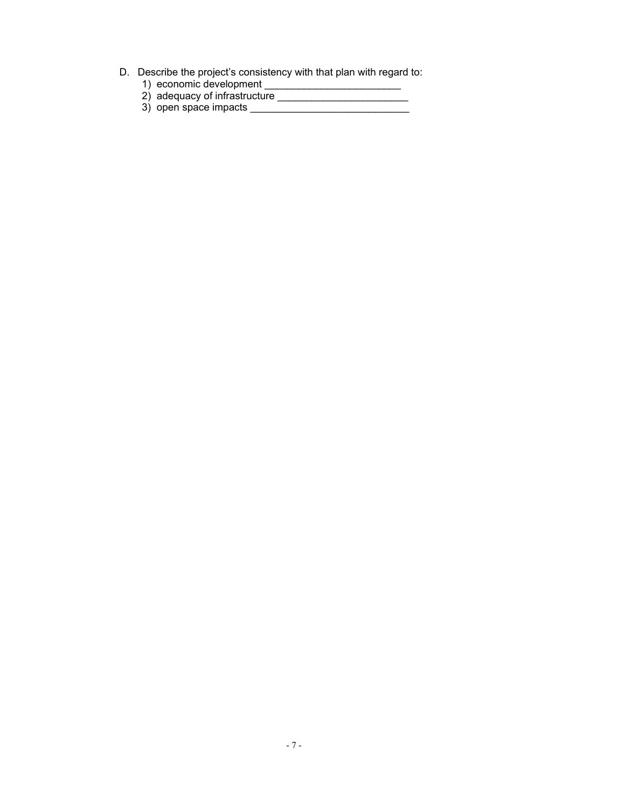- D. Describe the project's consistency with that plan with regard to:
- 1) economic development \_\_\_\_\_\_\_\_\_\_\_\_\_\_\_\_\_\_\_\_\_\_\_\_\_\_\_\_
- 2) adequacy of infrastructure \_\_\_\_\_\_\_\_\_\_\_\_\_\_\_\_\_\_\_\_\_\_\_\_\_\_
- 3) open space impacts \_\_\_\_\_\_\_\_\_\_\_\_\_\_\_\_\_\_\_\_\_\_\_\_\_\_\_\_\_\_\_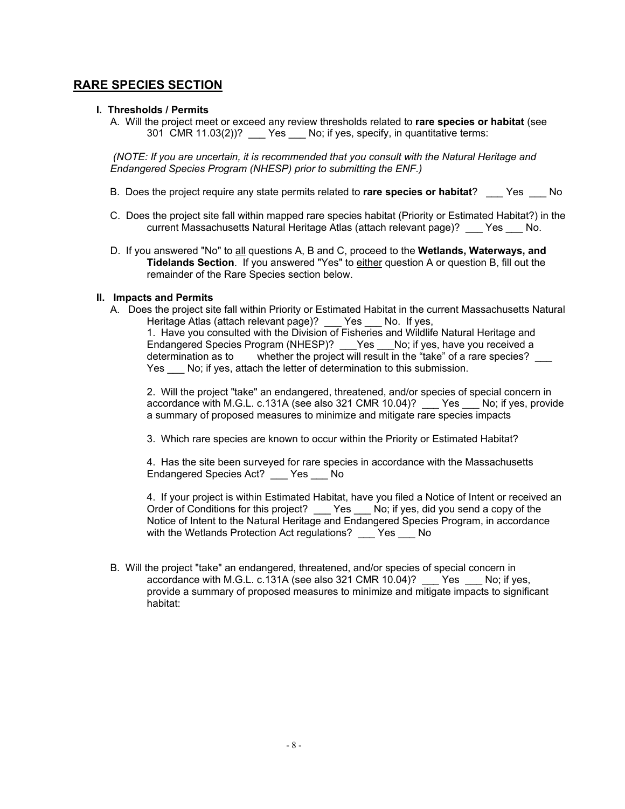### **RARE SPECIES SECTION**

#### **I. Thresholds / Permits**

A. Will the project meet or exceed any review thresholds related to **rare species or habitat** (see 301 CMR 11.03(2))? \_\_\_ Yes \_\_\_ No; if yes, specify, in quantitative terms:

*(NOTE: If you are uncertain, it is recommended that you consult with the Natural Heritage and Endangered Species Program (NHESP) prior to submitting the ENF.)*

- B. Does the project require any state permits related to **rare species or habitat**? \_\_\_ Yes \_\_\_ No
- C. Does the project site fall within mapped rare species habitat (Priority or Estimated Habitat?) in the current Massachusetts Natural Heritage Atlas (attach relevant page)? \_\_\_ Yes \_\_\_ No.
- D. If you answered "No" to all questions A, B and C, proceed to the **Wetlands, Waterways, and Tidelands Section**. If you answered "Yes" to either question A or question B, fill out the remainder of the Rare Species section below.

#### **II. Impacts and Permits**

A. Does the project site fall within Priority or Estimated Habitat in the current Massachusetts Natural Heritage Atlas (attach relevant page)? \_\_\_ Yes \_\_\_ No. If yes,

1. Have you consulted with the Division of Fisheries and Wildlife Natural Heritage and Endangered Species Program (NHESP)? Yes No; if yes, have you received a determination as to whether the project will result in the "take" of a rare species? Yes No; if yes, attach the letter of determination to this submission.

2. Will the project "take" an endangered, threatened, and/or species of special concern in accordance with M.G.L. c.131A (see also 321 CMR 10.04)? \_\_\_ Yes \_\_\_ No; if yes, provide a summary of proposed measures to minimize and mitigate rare species impacts

3. Which rare species are known to occur within the Priority or Estimated Habitat?

4. Has the site been surveyed for rare species in accordance with the Massachusetts Endangered Species Act? Yes No

4. If your project is within Estimated Habitat, have you filed a Notice of Intent or received an Order of Conditions for this project? \_\_\_ Yes \_\_\_ No; if yes, did you send a copy of the Notice of Intent to the Natural Heritage and Endangered Species Program, in accordance with the Wetlands Protection Act regulations? \_\_\_ Yes \_\_\_ No

B. Will the project "take" an endangered, threatened, and/or species of special concern in accordance with M.G.L. c.131A (see also 321 CMR 10.04)? \_\_\_ Yes \_\_\_ No; if yes, provide a summary of proposed measures to minimize and mitigate impacts to significant habitat: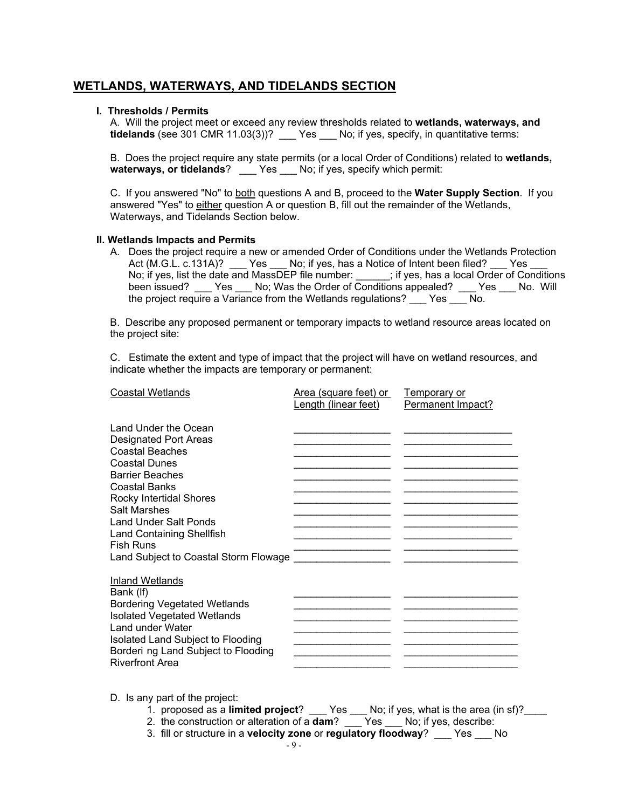## **WETLANDS, WATERWAYS, AND TIDELANDS SECTION**

#### **I. Thresholds / Permits**

A. Will the project meet or exceed any review thresholds related to **wetlands, waterways, and tidelands** (see 301 CMR 11.03(3))? \_\_\_ Yes \_\_\_ No; if yes, specify, in quantitative terms:

B. Does the project require any state permits (or a local Order of Conditions) related to **wetlands, waterways, or tidelands**? \_\_\_ Yes \_\_\_ No; if yes, specify which permit:

C. If you answered "No" to both questions A and B, proceed to the **Water Supply Section**. If you answered "Yes" to either question A or question B, fill out the remainder of the Wetlands, Waterways, and Tidelands Section below.

#### **II. Wetlands Impacts and Permits**

A. Does the project require a new or amended Order of Conditions under the Wetlands Protection Act (M.G.L. c.131A)? \_\_\_ Yes \_\_\_ No; if yes, has a Notice of Intent been filed? \_\_\_ Yes \_ No; if yes, list the date and MassDEP file number: \_\_\_\_\_\_; if yes, has a local Order of Conditions been issued? \_\_\_ Yes \_\_\_ No; Was the Order of Conditions appealed? \_\_\_ Yes \_\_\_ No. Will the project require a Variance from the Wetlands regulations? Yes No.

B. Describe any proposed permanent or temporary impacts to wetland resource areas located on the project site:

C. Estimate the extent and type of impact that the project will have on wetland resources, and indicate whether the impacts are temporary or permanent:

| <b>Coastal Wetlands</b>                                                                                                                                                                                                                                                                                                                            | Area (square feet) or<br>Length (linear feet) | Temporary or<br>Permanent Impact? |
|----------------------------------------------------------------------------------------------------------------------------------------------------------------------------------------------------------------------------------------------------------------------------------------------------------------------------------------------------|-----------------------------------------------|-----------------------------------|
| Land Under the Ocean<br><b>Designated Port Areas</b><br><b>Coastal Beaches</b><br><b>Coastal Dunes</b><br><b>Barrier Beaches</b><br><b>Coastal Banks</b><br><b>Rocky Intertidal Shores</b><br><b>Salt Marshes</b><br><b>Land Under Salt Ponds</b><br><b>Land Containing Shellfish</b><br><b>Fish Runs</b><br>Land Subject to Coastal Storm Flowage |                                               |                                   |
| <b>Inland Wetlands</b><br>Bank (If)<br><b>Bordering Vegetated Wetlands</b><br><b>Isolated Vegetated Wetlands</b><br>Land under Water<br>Isolated Land Subject to Flooding<br>Borderi ng Land Subject to Flooding<br><b>Riverfront Area</b>                                                                                                         |                                               |                                   |

D. Is any part of the project:

- 1. proposed as a **limited project**? \_\_\_ Yes \_\_\_ No; if yes, what is the area (in sf)?\_\_\_\_<br>2. the construction or alteration of a **dam**? Yes No; if yes, describe:
- 2. the construction or alteration of a **dam**?
- 3. fill or structure in a **velocity zone** or **regulatory floodway**? \_\_\_ Yes \_\_\_ No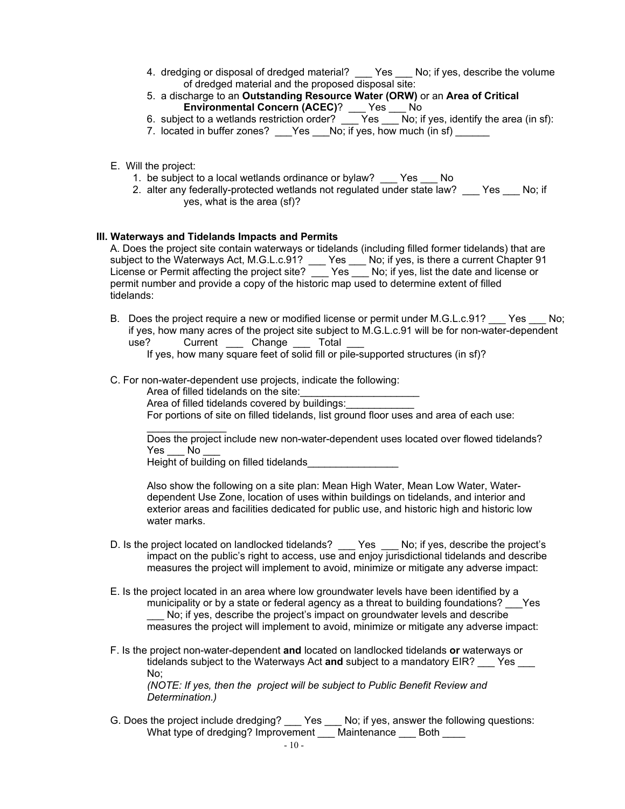- 4. dredging or disposal of dredged material? Yes No; if yes, describe the volume of dredged material and the proposed disposal site:
- 5. a discharge to an **Outstanding Resource Water (ORW)** or an **Area of Critical Environmental Concern (ACEC)**? \_\_\_ Yes \_\_\_ No
- 6. subject to a wetlands restriction order? \_\_\_ Yes \_\_\_ No; if yes, identify the area (in sf):
- 7. located in buffer zones? \_\_\_Yes \_\_\_No; if yes, how much (in sf) \_\_\_\_\_\_
- E. Will the project:
	- 1. be subject to a local wetlands ordinance or bylaw? \_\_\_ Yes \_\_\_ No
	- 2. alter any federally-protected wetlands not regulated under state law? Yes No; if yes, what is the area (sf)?

#### **III. Waterways and Tidelands Impacts and Permits**

A. Does the project site contain waterways or tidelands (including filled former tidelands) that are subject to the Waterways Act, M.G.L.c.91? \_\_\_ Yes \_\_\_ No; if yes, is there a current Chapter 91 License or Permit affecting the project site?\_\_\_ Yes \_\_\_ No; if yes, list the date and license or permit number and provide a copy of the historic map used to determine extent of filled tidelands:

B. Does the project require a new or modified license or permit under M.G.L.c.91? Pes No; if yes, how many acres of the project site subject to M.G.L.c.91 will be for non-water-dependent use? Current \_\_\_ Change \_\_\_ Total

If yes, how many square feet of solid fill or pile-supported structures (in sf)?

C. For non-water-dependent use projects, indicate the following:

Area of filled tidelands on the site: Area of filled tidelands covered by buildings: For portions of site on filled tidelands, list ground floor uses and area of each use:

\_\_\_\_\_\_\_\_\_\_\_\_\_\_ Does the project include new non-water-dependent uses located over flowed tidelands? Yes No

Height of building on filled tidelands\_\_\_\_\_\_\_\_\_\_\_\_\_\_\_\_

Also show the following on a site plan: Mean High Water, Mean Low Water, Waterdependent Use Zone, location of uses within buildings on tidelands, and interior and exterior areas and facilities dedicated for public use, and historic high and historic low water marks.

- D. Is the project located on landlocked tidelands? \_\_\_ Yes \_\_\_ No; if yes, describe the project's impact on the public's right to access, use and enjoy jurisdictional tidelands and describe measures the project will implement to avoid, minimize or mitigate any adverse impact:
- E. Is the project located in an area where low groundwater levels have been identified by a municipality or by a state or federal agency as a threat to building foundations? Yes No; if yes, describe the project's impact on groundwater levels and describe measures the project will implement to avoid, minimize or mitigate any adverse impact:
- F. Is the project non-water-dependent **and** located on landlocked tidelands **or** waterways or tidelands subject to the Waterways Act **and** subject to a mandatory EIR? \_\_\_ Yes \_\_\_ No; *(NOTE: If yes, then the project will be subject to Public Benefit Review and*

*Determination.)*

G. Does the project include dredging? \_\_\_ Yes \_\_\_ No; if yes, answer the following questions: What type of dredging? Improvement \_\_\_ Maintenance \_\_\_ Both \_\_\_\_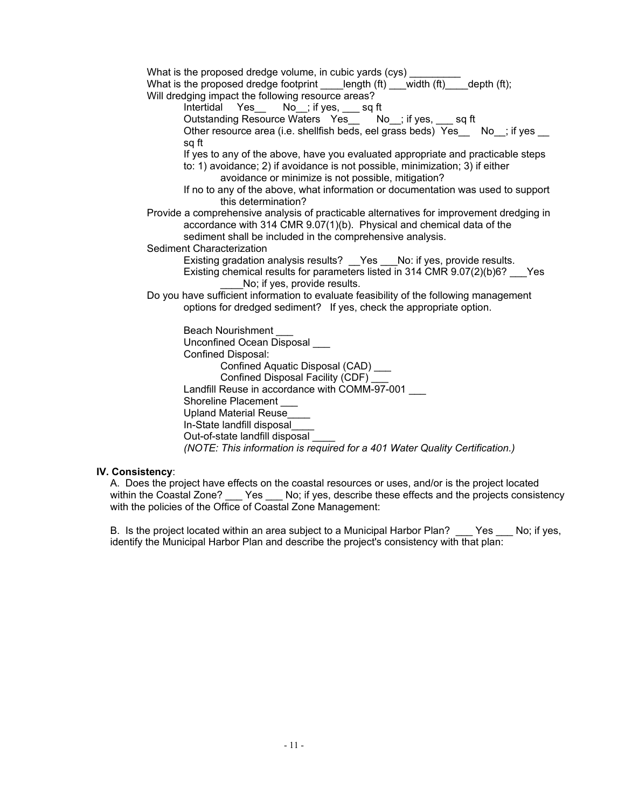| What is the proposed dredge volume, in cubic yards (cys)<br>What is the proposed dredge footprint ____length (ft) ___width (ft) ___depth (ft); |
|------------------------------------------------------------------------------------------------------------------------------------------------|
| Will dredging impact the following resource areas?                                                                                             |
| Intertidal Yes__ No_; if yes, __ sq ft                                                                                                         |
| Outstanding Resource Waters Yes_ No_; if yes, sq ft                                                                                            |
| Other resource area (i.e. shellfish beds, eel grass beds) Yes No ; if yes                                                                      |
| sq ft                                                                                                                                          |
| If yes to any of the above, have you evaluated appropriate and practicable steps                                                               |
| to: 1) avoidance; 2) if avoidance is not possible, minimization; 3) if either                                                                  |
| avoidance or minimize is not possible, mitigation?                                                                                             |
| If no to any of the above, what information or documentation was used to support<br>this determination?                                        |
| Provide a comprehensive analysis of practicable alternatives for improvement dredging in                                                       |
| accordance with 314 CMR 9.07(1)(b). Physical and chemical data of the                                                                          |
| sediment shall be included in the comprehensive analysis.                                                                                      |
| Sediment Characterization                                                                                                                      |
| Existing gradation analysis results? __Yes __No: if yes, provide results.                                                                      |
| Existing chemical results for parameters listed in 314 CMR 9.07(2)(b)6? __ Yes                                                                 |
| No; if yes, provide results.                                                                                                                   |
| Do you have sufficient information to evaluate feasibility of the following management                                                         |
| options for dredged sediment? If yes, check the appropriate option.                                                                            |
| <b>Beach Nourishment</b>                                                                                                                       |
| Unconfined Ocean Disposal ___                                                                                                                  |
| Confined Disposal:                                                                                                                             |
| Confined Aquatic Disposal (CAD) ___                                                                                                            |
| Confined Disposal Facility (CDF)                                                                                                               |
| Landfill Reuse in accordance with COMM-97-001                                                                                                  |
| Shoreline Placement                                                                                                                            |
| Upland Material Reuse                                                                                                                          |
| In-State landfill disposal                                                                                                                     |
| Out-of-state landfill disposal                                                                                                                 |
| (NOTE: This information is required for a 401 Water Quality Certification.)                                                                    |

#### **IV. Consistency**:

A. Does the project have effects on the coastal resources or uses, and/or is the project located within the Coastal Zone? \_\_\_ Yes \_\_\_ No; if yes, describe these effects and the projects consistency with the policies of the Office of Coastal Zone Management:

B. Is the project located within an area subject to a Municipal Harbor Plan? \_\_\_ Yes \_\_\_ No; if yes, identify the Municipal Harbor Plan and describe the project's consistency with that plan: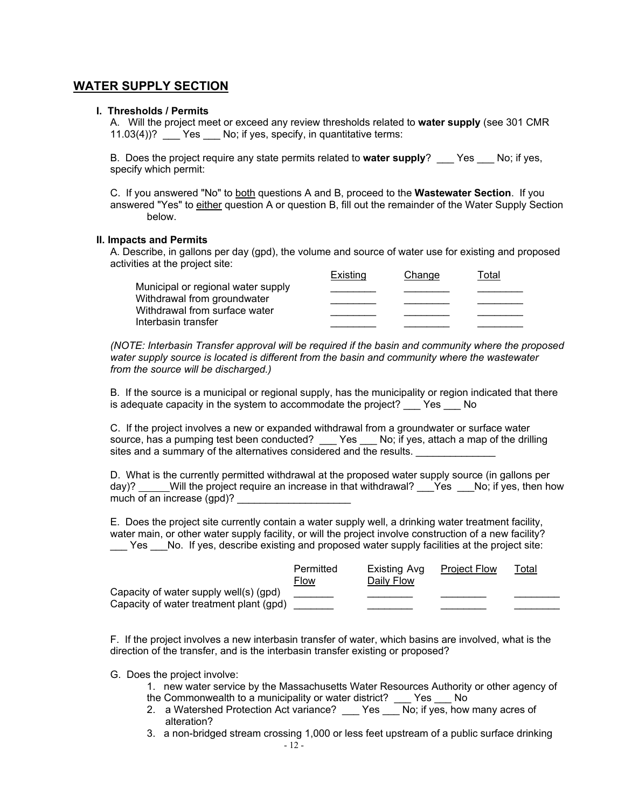## **WATER SUPPLY SECTION**

#### **I. Thresholds / Permits**

A. Will the project meet or exceed any review thresholds related to **water supply** (see 301 CMR 11.03(4))? \_\_\_ Yes \_\_\_ No; if yes, specify, in quantitative terms:

B. Does the project require any state permits related to **water supply**? \_\_\_ Yes \_\_\_ No; if yes, specify which permit:

C. If you answered "No" to both questions A and B, proceed to the **Wastewater Section**. If you answered "Yes" to either question A or question B, fill out the remainder of the Water Supply Section below.

#### **II. Impacts and Permits**

A. Describe, in gallons per day (gpd), the volume and source of water use for existing and proposed activities at the project site:

|                                                                   | Existina | Change | otal <sup>-</sup> |
|-------------------------------------------------------------------|----------|--------|-------------------|
| Municipal or regional water supply<br>Withdrawal from groundwater |          |        |                   |
|                                                                   |          |        |                   |
| Withdrawal from surface water<br>Interbasin transfer              |          |        |                   |
|                                                                   |          |        |                   |

*(NOTE: Interbasin Transfer approval will be required if the basin and community where the proposed water supply source is located is different from the basin and community where the wastewater from the source will be discharged.)* 

B. If the source is a municipal or regional supply, has the municipality or region indicated that there is adequate capacity in the system to accommodate the project? \_\_\_ Yes \_\_\_ No

C. If the project involves a new or expanded withdrawal from a groundwater or surface water source, has a pumping test been conducted? Yes No; if yes, attach a map of the drilling sites and a summary of the alternatives considered and the results.

D. What is the currently permitted withdrawal at the proposed water supply source (in gallons per day)? \_\_\_\_\_Will the project require an increase in that withdrawal? \_\_\_Yes \_\_\_No; if yes, then how much of an increase  $(qpd)$ ?

E. Does the project site currently contain a water supply well, a drinking water treatment facility, water main, or other water supply facility, or will the project involve construction of a new facility? Yes No. If yes, describe existing and proposed water supply facilities at the project site:

|                                                                                   | Permitted<br><b>Flow</b> | Existing Avg<br>Daily Flow | <b>Project Flow</b> | <u>Total</u> |
|-----------------------------------------------------------------------------------|--------------------------|----------------------------|---------------------|--------------|
| Capacity of water supply well(s) (gpd)<br>Capacity of water treatment plant (gpd) |                          |                            |                     |              |
|                                                                                   |                          |                            |                     |              |

F. If the project involves a new interbasin transfer of water, which basins are involved, what is the direction of the transfer, and is the interbasin transfer existing or proposed?

- G. Does the project involve:
	- 1. new water service by the Massachusetts Water Resources Authority or other agency of the Commonwealth to a municipality or water district? \_\_\_ Yes \_\_\_ No
	- 2. a Watershed Protection Act variance? \_\_\_ Yes \_\_\_ No; if yes, how many acres of alteration?
	- 3. a non-bridged stream crossing 1,000 or less feet upstream of a public surface drinking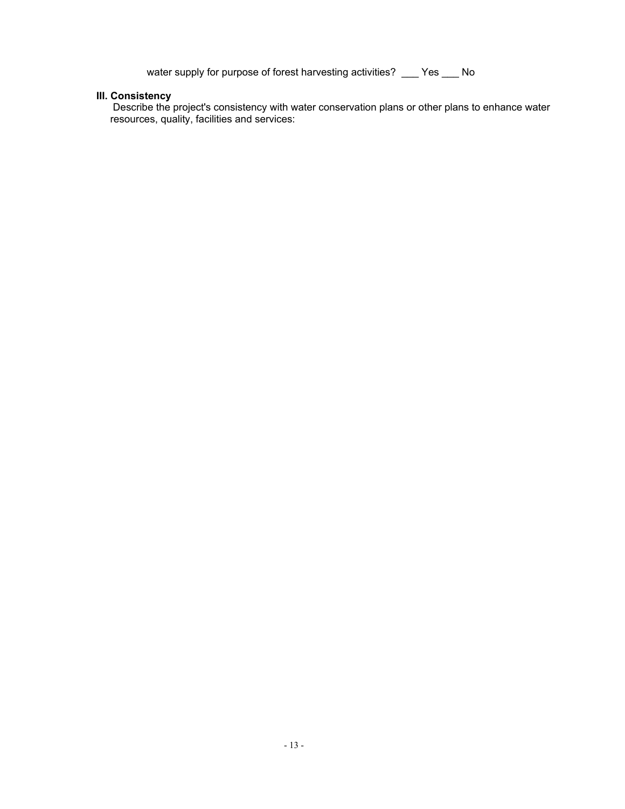water supply for purpose of forest harvesting activities? \_\_\_ Yes \_\_\_ No

#### **III. Consistency**

Describe the project's consistency with water conservation plans or other plans to enhance water resources, quality, facilities and services: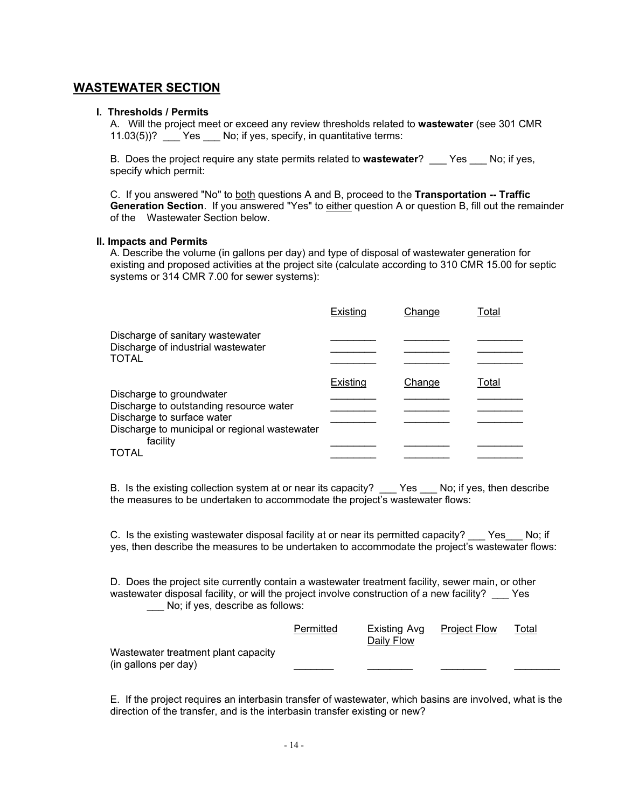### **WASTEWATER SECTION**

#### **I. Thresholds / Permits**

A. Will the project meet or exceed any review thresholds related to **wastewater** (see 301 CMR 11.03(5))? Yes No; if yes, specify, in quantitative terms:

B. Does the project require any state permits related to **wastewater**? \_\_\_ Yes \_\_\_ No; if yes, specify which permit:

C. If you answered "No" to both questions A and B, proceed to the **Transportation -- Traffic Generation Section**. If you answered "Yes" to either question A or question B, fill out the remainder of the Wastewater Section below.

#### **II. Impacts and Permits**

A. Describe the volume (in gallons per day) and type of disposal of wastewater generation for existing and proposed activities at the project site (calculate according to 310 CMR 15.00 for septic systems or 314 CMR 7.00 for sewer systems):

|                                                                                 | Existing | Change | Total |
|---------------------------------------------------------------------------------|----------|--------|-------|
| Discharge of sanitary wastewater<br>Discharge of industrial wastewater<br>TOTAL |          |        |       |
|                                                                                 | Existing | Change | Total |
| Discharge to groundwater<br>Discharge to outstanding resource water             |          |        |       |
| Discharge to surface water<br>Discharge to municipal or regional wastewater     |          |        |       |
| facility<br>TOTAL                                                               |          |        |       |
|                                                                                 |          |        |       |

B.Is the existing collection system at or near its capacity? \_\_\_ Yes \_\_\_ No; if yes, then describe the measures to be undertaken to accommodate the project's wastewater flows:

C. Is the existing wastewater disposal facility at or near its permitted capacity? Yes No; if yes, then describe the measures to be undertaken to accommodate the project's wastewater flows:

D. Does the project site currently contain a wastewater treatment facility, sewer main, or other wastewater disposal facility, or will the project involve construction of a new facility? \_\_\_ Yes \_\_\_ No; if yes, describe as follows:

|                                                             | Permitted | Existing Avg<br>Daily Flow | <b>Project Flow</b> | Total |
|-------------------------------------------------------------|-----------|----------------------------|---------------------|-------|
| Wastewater treatment plant capacity<br>(in gallons per day) |           |                            |                     |       |

E. If the project requires an interbasin transfer of wastewater, which basins are involved, what is the direction of the transfer, and is the interbasin transfer existing or new?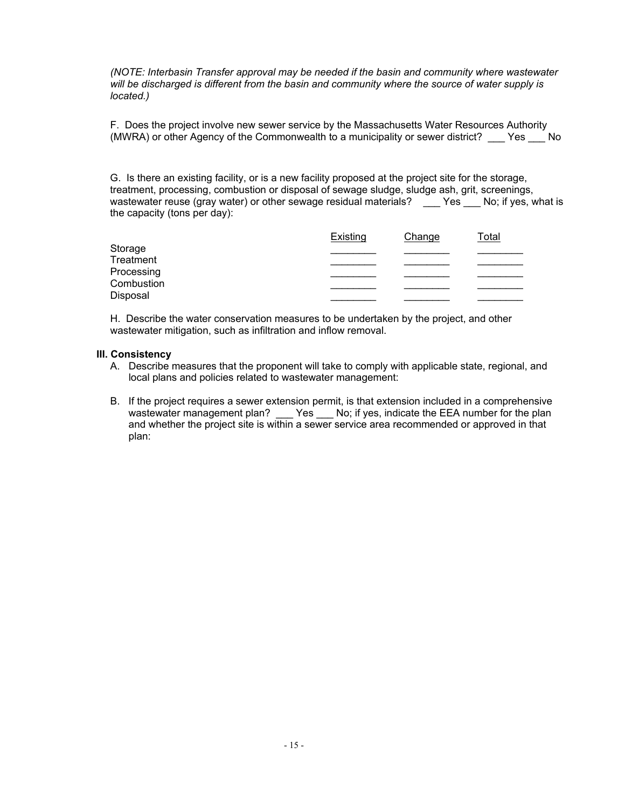*(NOTE: Interbasin Transfer approval may be needed if the basin and community where wastewater will be discharged is different from the basin and community where the source of water supply is located.)*

F. Does the project involve new sewer service by the Massachusetts Water Resources Authority (MWRA) or other Agency of the Commonwealth to a municipality or sewer district? \_\_\_ Yes \_\_\_ No

G. Is there an existing facility, or is a new facility proposed at the project site for the storage, treatment, processing, combustion or disposal of sewage sludge, sludge ash, grit, screenings, wastewater reuse (gray water) or other sewage residual materials? \_\_\_ Yes \_\_\_ No; if yes, what is the capacity (tons per day):

|            | Existing | Change | <u>Total</u> |
|------------|----------|--------|--------------|
| Storage    |          |        |              |
| Treatment  |          |        |              |
| Processing |          |        |              |
| Combustion |          |        |              |
| Disposal   |          |        |              |

H. Describe the water conservation measures to be undertaken by the project, and other wastewater mitigation, such as infiltration and inflow removal.

#### **III. Consistency**

- A. Describe measures that the proponent will take to comply with applicable state, regional, and local plans and policies related to wastewater management:
- B. If the project requires a sewer extension permit, is that extension included in a comprehensive wastewater management plan? \_\_\_ Yes \_\_\_ No; if yes, indicate the EEA number for the plan and whether the project site is within a sewer service area recommended or approved in that plan: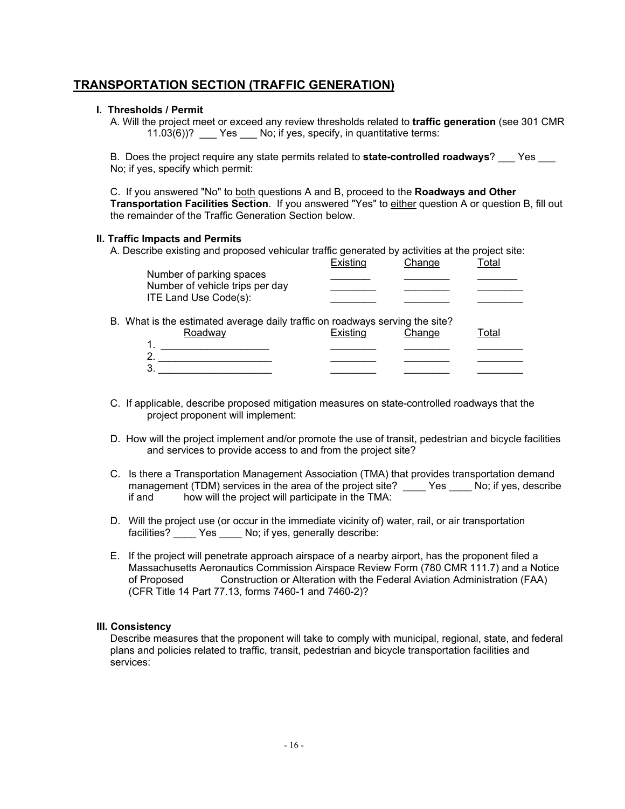## **TRANSPORTATION SECTION (TRAFFIC GENERATION)**

#### **I. Thresholds / Permit**

A. Will the project meet or exceed any review thresholds related to **traffic generation** (see 301 CMR 11.03(6))? \_\_\_ Yes \_\_\_ No; if yes, specify, in quantitative terms:

B. Does the project require any state permits related to **state-controlled roadways**? Yes No; if yes, specify which permit:

C. If you answered "No" to both questions A and B, proceed to the **Roadways and Other Transportation Facilities Section**. If you answered "Yes" to either question A or question B, fill out the remainder of the Traffic Generation Section below.

#### **II. Traffic Impacts and Permits**

A. Describe existing and proposed vehicular traffic generated by activities at the project site:

|  | Number of parking spaces<br>Number of vehicle trips per day<br>ITE Land Use Code(s): | Existing | Change | Total |
|--|--------------------------------------------------------------------------------------|----------|--------|-------|
|  |                                                                                      |          |        |       |
|  |                                                                                      |          |        |       |
|  |                                                                                      |          |        |       |
|  | B. What is the estimated average daily traffic on roadways serving the site?         |          |        |       |
|  | Roadway                                                                              | Existing | Change | Total |
|  |                                                                                      |          |        |       |
|  | $\mathbf{2}$                                                                         |          |        |       |
|  | 3                                                                                    |          |        |       |

- C. If applicable, describe proposed mitigation measures on state-controlled roadways that the project proponent will implement:
- D. How will the project implement and/or promote the use of transit, pedestrian and bicycle facilities and services to provide access to and from the project site?
- C. Is there a Transportation Management Association (TMA) that provides transportation demand management (TDM) services in the area of the project site? \_\_\_\_ Yes \_\_\_\_ No; if yes, describe if and how will the project will participate in the TMA:
- D. Will the project use (or occur in the immediate vicinity of) water, rail, or air transportation facilities? \_\_\_\_ Yes \_\_\_\_ No; if yes, generally describe:
- E. If the project will penetrate approach airspace of a nearby airport, has the proponent filed a Massachusetts Aeronautics Commission Airspace Review Form (780 CMR 111.7) and a Notice of Proposed Construction or Alteration with the Federal Aviation Administration (FAA) (CFR Title 14 Part 77.13, forms 7460-1 and 7460-2)?

#### **III. Consistency**

Describe measures that the proponent will take to comply with municipal, regional, state, and federal plans and policies related to traffic, transit, pedestrian and bicycle transportation facilities and services: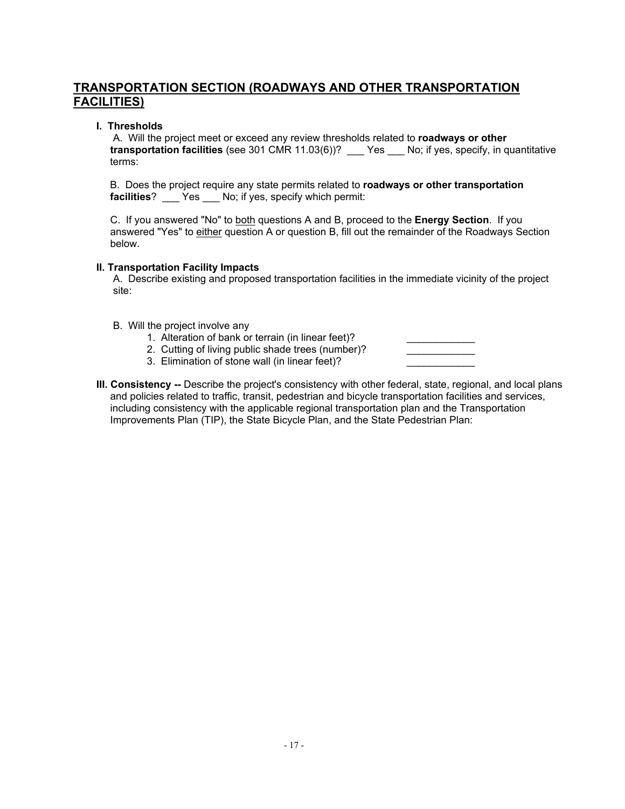## **TRANSPORTATION SECTION (ROADWAYS AND OTHER TRANSPORTATION FACILITIES)**

### **I. Thresholds**

A. Will the project meet or exceed any review thresholds related to **roadways or other transportation facilities** (see 301 CMR 11.03(6))? \_\_\_ Yes \_\_\_ No; if yes, specify, in quantitative terms:

B. Does the project require any state permits related to **roadways or other transportation facilities**? \_\_\_ Yes \_\_\_ No; if yes, specify which permit:

C. If you answered "No" to both questions A and B, proceed to the **Energy Section**. If you answered "Yes" to either question A or question B, fill out the remainder of the Roadways Section below.

### **II. Transportation Facility Impacts**

A. Describe existing and proposed transportation facilities in the immediate vicinity of the project site:

- B. Will the project involve any
	- 1. Alteration of bank or terrain (in linear feet)?
	- 2. Cutting of living public shade trees (number)?
	- 3. Elimination of stone wall (in linear feet)?
- **III. Consistency --** Describe the project's consistency with other federal, state, regional, and local plans and policies related to traffic, transit, pedestrian and bicycle transportation facilities and services, including consistency with the applicable regional transportation plan and the Transportation Improvements Plan (TIP), the State Bicycle Plan, and the State Pedestrian Plan: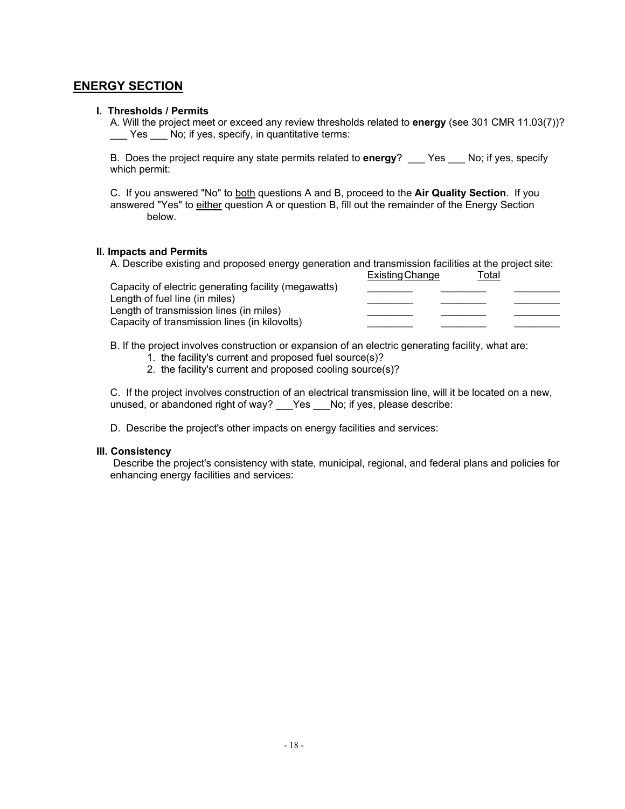## **ENERGY SECTION**

### **I. Thresholds / Permits**

A. Will the project meet or exceed any review thresholds related to **energy** (see 301 CMR 11.03(7))? \_\_\_ Yes \_\_\_ No; if yes, specify, in quantitative terms:

B. Does the project require any state permits related to **energy**? \_\_\_ Yes \_\_\_ No; if yes, specify which permit:

C. If you answered "No" to both questions A and B, proceed to the **Air Quality Section**. If you answered "Yes" to either question A or question B, fill out the remainder of the Energy Section below.

#### **II. Impacts and Permits**

A. Describe existing and proposed energy generation and transmission facilities at the project site: a a a.<br>Evicting Change

|                                                                           | Existing Unange | i olar |  |
|---------------------------------------------------------------------------|-----------------|--------|--|
| Capacity of electric generating facility (megawatts)                      |                 |        |  |
| Length of fuel line (in miles)<br>Length of transmission lines (in miles) |                 |        |  |
| Capacity of transmission lines (in kilovolts)                             |                 |        |  |
|                                                                           |                 |        |  |

B. If the project involves construction or expansion of an electric generating facility, what are:

1. the facility's current and proposed fuel source(s)?

2. the facility's current and proposed cooling source(s)?

C. If the project involves construction of an electrical transmission line, will it be located on a new, unused, or abandoned right of way? \_\_\_Yes \_\_\_No; if yes, please describe:

D. Describe the project's other impacts on energy facilities and services:

#### **III. Consistency**

 Describe the project's consistency with state, municipal, regional, and federal plans and policies for enhancing energy facilities and services: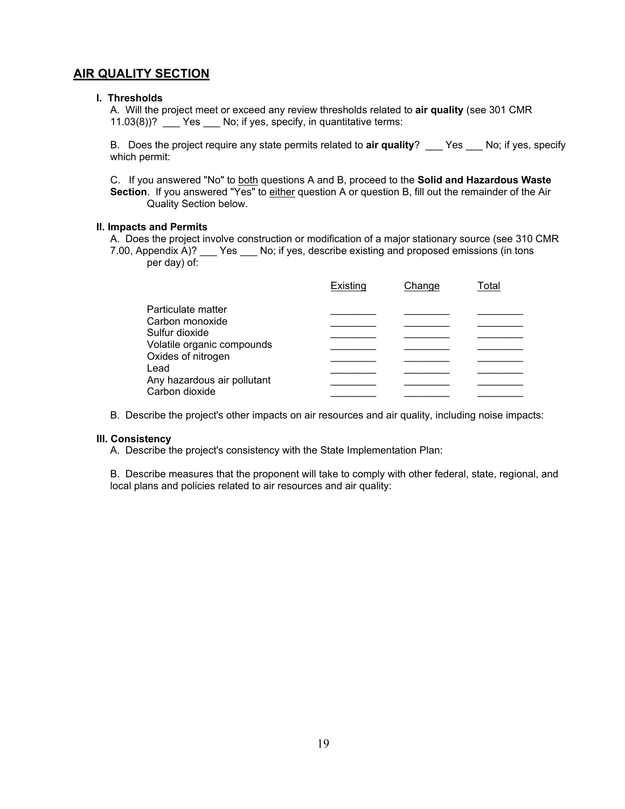## **AIR QUALITY SECTION**

#### **I. Thresholds**

A. Will the project meet or exceed any review thresholds related to **air quality** (see 301 CMR 11.03(8))? \_\_\_ Yes \_\_\_ No; if yes, specify, in quantitative terms:

B. Does the project require any state permits related to **air quality**? \_\_\_ Yes \_\_\_ No; if yes, specify which permit:

C. If you answered "No" to both questions A and B, proceed to the **Solid and Hazardous Waste Section**. If you answered "Yes" to either question A or question B, fill out the remainder of the Air Quality Section below.

#### **II. Impacts and Permits**

A. Does the project involve construction or modification of a major stationary source (see 310 CMR 7.00, Appendix A)? \_\_\_ Yes \_\_\_ No; if yes, describe existing and proposed emissions (in tons per day) of:

|                                                  | Existing | Change | Total |
|--------------------------------------------------|----------|--------|-------|
| Particulate matter                               |          |        |       |
| Carbon monoxide                                  |          |        |       |
| Sulfur dioxide                                   |          |        |       |
| Volatile organic compounds<br>Oxides of nitrogen |          |        |       |
| Lead                                             |          |        |       |
| Any hazardous air pollutant                      |          |        |       |
| Carbon dioxide                                   |          |        |       |

B. Describe the project's other impacts on air resources and air quality, including noise impacts:

#### **III. Consistency**

A. Describe the project's consistency with the State Implementation Plan:

B. Describe measures that the proponent will take to comply with other federal, state, regional, and local plans and policies related to air resources and air quality: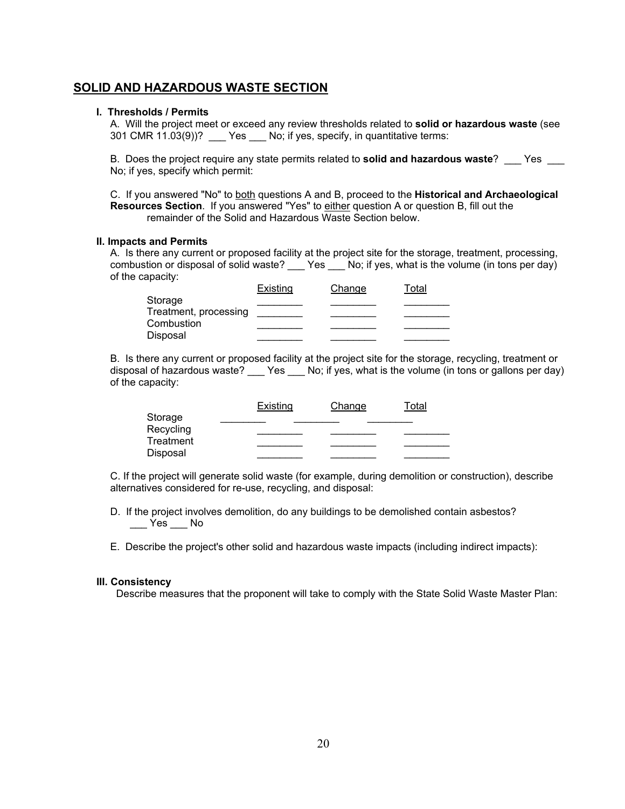### **SOLID AND HAZARDOUS WASTE SECTION**

#### **I. Thresholds / Permits**

A. Will the project meet or exceed any review thresholds related to **solid or hazardous waste** (see 301 CMR 11.03(9))? Yes No; if yes, specify, in quantitative terms:

B. Does the project require any state permits related to **solid and hazardous waste**? \_\_\_ Yes \_\_\_ No; if yes, specify which permit:

C. If you answered "No" to both questions A and B, proceed to the **Historical and Archaeological Resources Section**. If you answered "Yes" to either question A or question B, fill out the remainder of the Solid and Hazardous Waste Section below.

#### **II. Impacts and Permits**

A. Is there any current or proposed facility at the project site for the storage, treatment, processing, combustion or disposal of solid waste? Yes No; if yes, what is the volume (in tons per day) of the capacity:

|                       | Existing | Change | Total |
|-----------------------|----------|--------|-------|
| Storage               |          |        |       |
| Treatment, processing |          |        |       |
| Combustion            |          |        |       |
| Disposal              |          |        |       |

B. Is there any current or proposed facility at the project site for the storage, recycling, treatment or disposal of hazardous waste? \_\_\_ Yes \_\_\_ No; if yes, what is the volume (in tons or gallons per day) of the capacity:

|           | Existing | Change | Total |
|-----------|----------|--------|-------|
| Storage   |          |        |       |
| Recycling |          |        |       |
| Treatment |          |        |       |
| Disposal  |          |        |       |

C. If the project will generate solid waste (for example, during demolition or construction), describe alternatives considered for re-use, recycling, and disposal:

- D. If the project involves demolition, do any buildings to be demolished contain asbestos?  $\rule{1em}{0.15mm}$  Yes  $\rule{1em}{0.15mm}$  No
- E. Describe the project's other solid and hazardous waste impacts (including indirect impacts):

#### **III. Consistency**

Describe measures that the proponent will take to comply with the State Solid Waste Master Plan: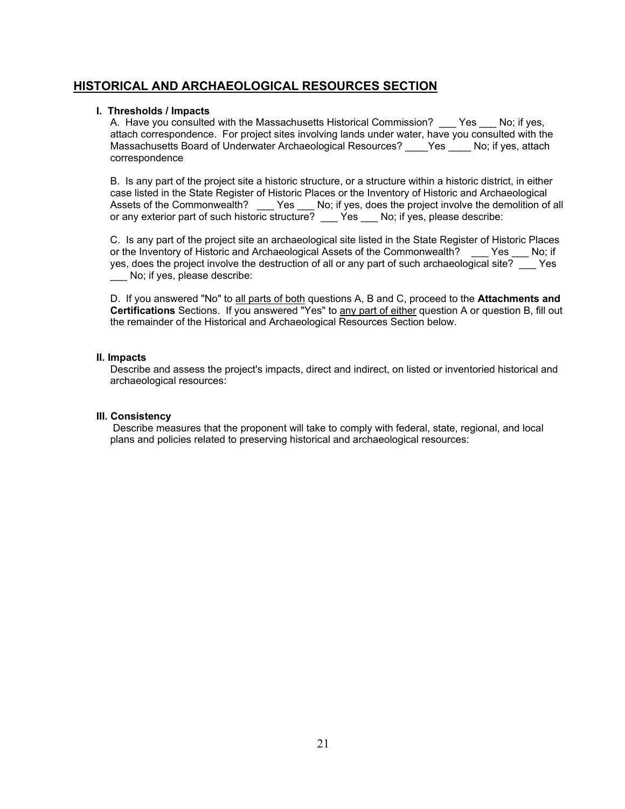## **HISTORICAL AND ARCHAEOLOGICAL RESOURCES SECTION**

### **I. Thresholds / Impacts**

A. Have you consulted with the Massachusetts Historical Commission? \_\_\_ Yes \_\_\_ No; if yes, attach correspondence. For project sites involving lands under water, have you consulted with the Massachusetts Board of Underwater Archaeological Resources? \_\_\_\_Yes \_\_\_\_ No; if yes, attach correspondence

B. Is any part of the project site a historic structure, or a structure within a historic district, in either case listed in the State Register of Historic Places or the Inventory of Historic and Archaeological Assets of the Commonwealth? \_\_\_ Yes \_\_\_ No; if yes, does the project involve the demolition of all or any exterior part of such historic structure? \_\_\_ Yes \_\_\_ No; if yes, please describe:

C. Is any part of the project site an archaeological site listed in the State Register of Historic Places or the Inventory of Historic and Archaeological Assets of the Commonwealth? Yes No; if yes, does the project involve the destruction of all or any part of such archaeological site? \_\_\_ Yes \_\_\_ No; if yes, please describe:

D. If you answered "No" to all parts of both questions A, B and C, proceed to the **Attachments and Certifications** Sections. If you answered "Yes" to any part of either question A or question B, fill out the remainder of the Historical and Archaeological Resources Section below.

#### **II. Impacts**

Describe and assess the project's impacts, direct and indirect, on listed or inventoried historical and archaeological resources:

### **III. Consistency**

Describe measures that the proponent will take to comply with federal, state, regional, and local plans and policies related to preserving historical and archaeological resources: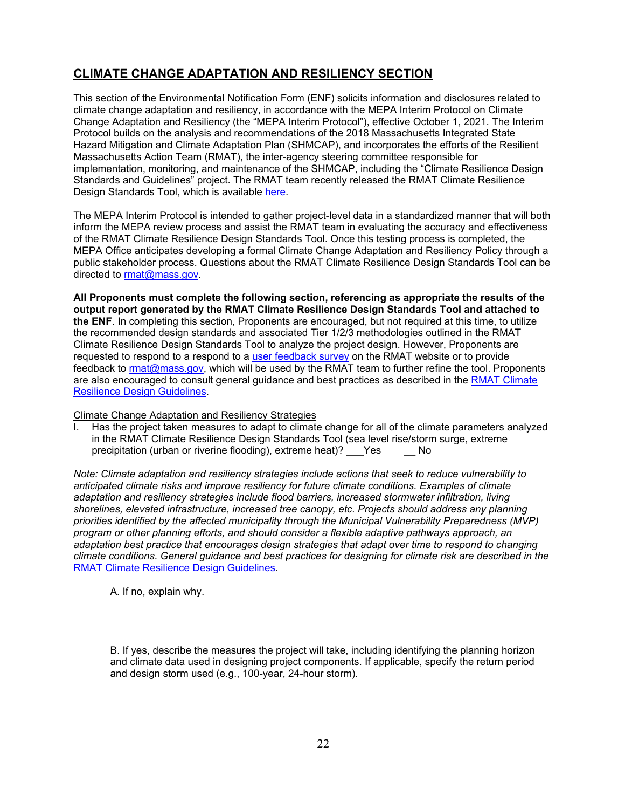# **CLIMATE CHANGE ADAPTATION AND RESILIENCY SECTION**

This section of the Environmental Notification Form (ENF) solicits information and disclosures related to climate change adaptation and resiliency, in accordance with the MEPA Interim Protocol on Climate Change Adaptation and Resiliency (the "MEPA Interim Protocol"), effective October 1, 2021. The Interim Protocol builds on the analysis and recommendations of the 2018 Massachusetts Integrated State Hazard Mitigation and Climate Adaptation Plan (SHMCAP), and incorporates the efforts of the Resilient Massachusetts Action Team (RMAT), the inter-agency steering committee responsible for implementation, monitoring, and maintenance of the SHMCAP, including the "Climate Resilience Design Standards and Guidelines" project. The RMAT team recently released the RMAT Climate Resilience Design Standards Tool, which is available [here.](https://resilientma.org/rmat_home/designstandards/)

The MEPA Interim Protocol is intended to gather project-level data in a standardized manner that will both inform the MEPA review process and assist the RMAT team in evaluating the accuracy and effectiveness of the RMAT Climate Resilience Design Standards Tool. Once this testing process is completed, the MEPA Office anticipates developing a formal Climate Change Adaptation and Resiliency Policy through a public stakeholder process. Questions about the RMAT Climate Resilience Design Standards Tool can be directed to [rmat@mass.gov.](mailto:rmat@mass.gov)

**All Proponents must complete the following section, referencing as appropriate the results of the output report generated by the RMAT Climate Resilience Design Standards Tool and attached to the ENF**. In completing this section, Proponents are encouraged, but not required at this time, to utilize the recommended design standards and associated Tier 1/2/3 methodologies outlined in the RMAT Climate Resilience Design Standards Tool to analyze the project design. However, Proponents are requested to respond to a respond to a [user feedback](https://www.mass.gov/forms/rmat-beta-climate-resilience-design-standards-tool-feedback-form) survey on the RMAT website or to provide feedback to [rmat@mass.gov,](mailto:rmat@mass.gov) which will be used by the RMAT team to further refine the tool. Proponents are also encouraged to consult general guidance and best practices as described in the [RMAT Climate](https://resilientma.org/mvp/cms_content/guidelines/20210330Section4ClimateResilienceDesignGuidelinesFinal.pdf)  [Resilience Design Guidelines.](https://resilientma.org/mvp/cms_content/guidelines/20210330Section4ClimateResilienceDesignGuidelinesFinal.pdf)

Climate Change Adaptation and Resiliency Strategies

I. Has the project taken measures to adapt to climate change for all of the climate parameters analyzed in the RMAT Climate Resilience Design Standards Tool (sea level rise/storm surge, extreme precipitation (urban or riverine flooding), extreme heat)? Yes No precipitation (urban or riverine flooding), extreme heat)? Yes

*Note: Climate adaptation and resiliency strategies include actions that seek to reduce vulnerability to anticipated climate risks and improve resiliency for future climate conditions. Examples of climate adaptation and resiliency strategies include flood barriers, increased stormwater infiltration, living shorelines, elevated infrastructure, increased tree canopy, etc. Projects should address any planning priorities identified by the affected municipality through the Municipal Vulnerability Preparedness (MVP) program or other planning efforts, and should consider a flexible adaptive pathways approach, an adaptation best practice that encourages design strategies that adapt over time to respond to changing climate conditions. General guidance and best practices for designing for climate risk are described in the*  [RMAT Climate Resilience Design Guidelines](https://resilientma.org/mvp/cms_content/guidelines/20210330Section4ClimateResilienceDesignGuidelinesFinal.pdf)*.*

A. If no, explain why.

B. If yes, describe the measures the project will take, including identifying the planning horizon and climate data used in designing project components. If applicable, specify the return period and design storm used (e.g., 100-year, 24-hour storm).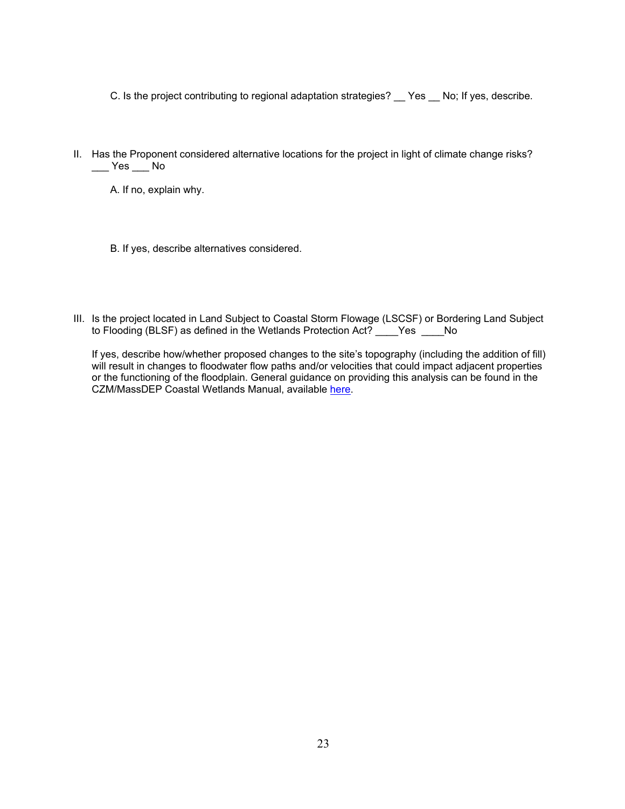C. Is the project contributing to regional adaptation strategies? \_\_ Yes \_\_ No; If yes, describe.

- II. Has the Proponent considered alternative locations for the project in light of climate change risks?  $\rule{1em}{0.15mm}$  Yes  $\rule{1em}{0.15mm}$  No
	- A. If no, explain why.
	- B. If yes, describe alternatives considered.
- III. Is the project located in Land Subject to Coastal Storm Flowage (LSCSF) or Bordering Land Subject to Flooding (BLSF) as defined in the Wetlands Protection Act? \_\_\_\_Yes \_\_\_\_No

If yes, describe how/whether proposed changes to the site's topography (including the addition of fill) will result in changes to floodwater flow paths and/or velocities that could impact adjacent properties or the functioning of the floodplain. General guidance on providing this analysis can be found in the CZM/MassDEP Coastal Wetlands Manual, available [here.](https://www.mass.gov/files/documents/2020/10/14/czm-coastal-maunual-2020-update.pdf)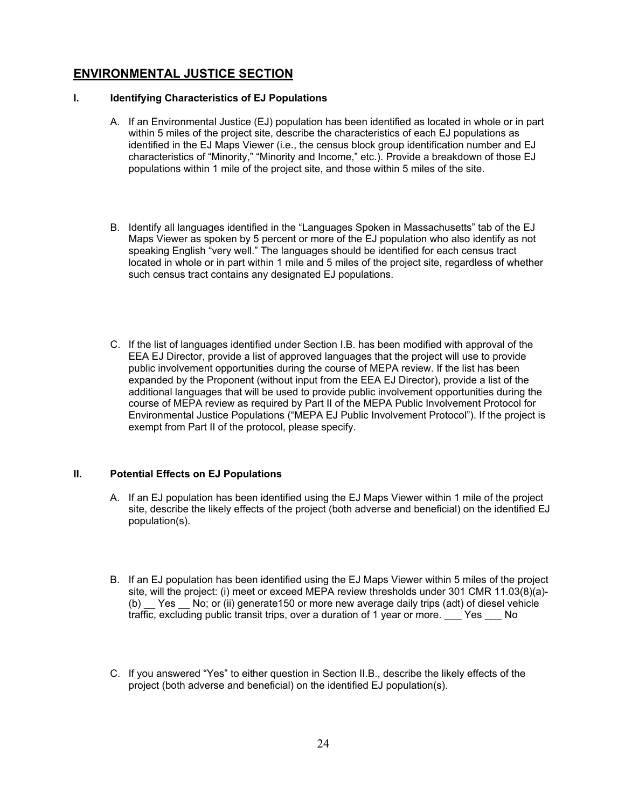## **ENVIRONMENTAL JUSTICE SECTION**

### **I. Identifying Characteristics of EJ Populations**

- A. If an Environmental Justice (EJ) population has been identified as located in whole or in part within 5 miles of the project site, describe the characteristics of each EJ populations as identified in the EJ Maps Viewer (i.e., the census block group identification number and EJ characteristics of "Minority," "Minority and Income," etc.). Provide a breakdown of those EJ populations within 1 mile of the project site, and those within 5 miles of the site.
- B. Identify all languages identified in the "Languages Spoken in Massachusetts" tab of the EJ Maps Viewer as spoken by 5 percent or more of the EJ population who also identify as not speaking English "very well." The languages should be identified for each census tract located in whole or in part within 1 mile and 5 miles of the project site, regardless of whether such census tract contains any designated EJ populations.
- C. If the list of languages identified under Section I.B. has been modified with approval of the EEA EJ Director, provide a list of approved languages that the project will use to provide public involvement opportunities during the course of MEPA review. If the list has been expanded by the Proponent (without input from the EEA EJ Director), provide a list of the additional languages that will be used to provide public involvement opportunities during the course of MEPA review as required by Part II of the MEPA Public Involvement Protocol for Environmental Justice Populations ("MEPA EJ Public Involvement Protocol"). If the project is exempt from Part II of the protocol, please specify.

### **II. Potential Effects on EJ Populations**

- A. If an EJ population has been identified using the EJ Maps Viewer within 1 mile of the project site, describe the likely effects of the project (both adverse and beneficial) on the identified EJ population(s).
- B. If an EJ population has been identified using the EJ Maps Viewer within 5 miles of the project site, will the project: (i) meet or exceed MEPA review thresholds under 301 CMR 11.03(8)(a)- (b) Yes No; or (ii) generate150 or more new average daily trips (adt) of diesel vehicle traffic, excluding public transit trips, over a duration of 1 year or more. Yes No
- C. If you answered "Yes" to either question in Section II.B., describe the likely effects of the project (both adverse and beneficial) on the identified EJ population(s).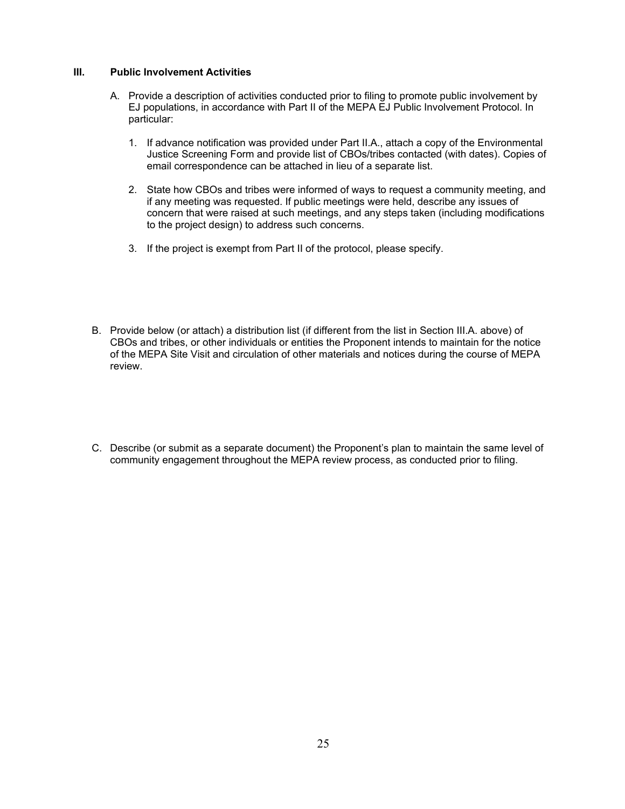#### **III. Public Involvement Activities**

- A. Provide a description of activities conducted prior to filing to promote public involvement by EJ populations, in accordance with Part II of the MEPA EJ Public Involvement Protocol. In particular:
	- 1. If advance notification was provided under Part II.A., attach a copy of the Environmental Justice Screening Form and provide list of CBOs/tribes contacted (with dates). Copies of email correspondence can be attached in lieu of a separate list.
	- 2. State how CBOs and tribes were informed of ways to request a community meeting, and if any meeting was requested. If public meetings were held, describe any issues of concern that were raised at such meetings, and any steps taken (including modifications to the project design) to address such concerns.
	- 3. If the project is exempt from Part II of the protocol, please specify.
- B. Provide below (or attach) a distribution list (if different from the list in Section III.A. above) of CBOs and tribes, or other individuals or entities the Proponent intends to maintain for the notice of the MEPA Site Visit and circulation of other materials and notices during the course of MEPA review.
- C. Describe (or submit as a separate document) the Proponent's plan to maintain the same level of community engagement throughout the MEPA review process, as conducted prior to filing.